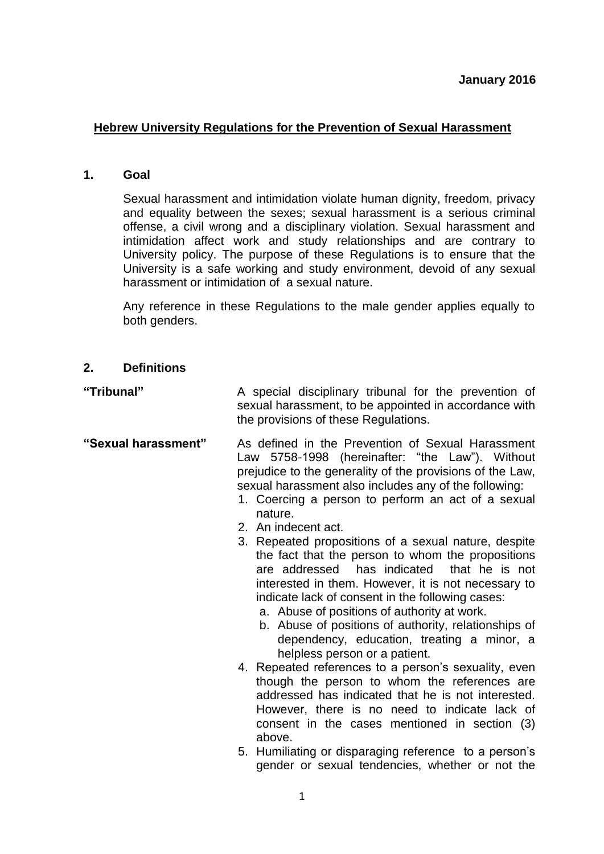## **Hebrew University Regulations for the Prevention of Sexual Harassment**

#### **1. Goal**

Sexual harassment and intimidation violate human dignity, freedom, privacy and equality between the sexes; sexual harassment is a serious criminal offense, a civil wrong and a disciplinary violation. Sexual harassment and intimidation affect work and study relationships and are contrary to University policy. The purpose of these Regulations is to ensure that the University is a safe working and study environment, devoid of any sexual harassment or intimidation of a sexual nature.

Any reference in these Regulations to the male gender applies equally to both genders.

#### **2. Definitions**

**"Tribunal"** A special disciplinary tribunal for the prevention of sexual harassment, to be appointed in accordance with the provisions of these Regulations.

**"Sexual harassment"** As defined in the Prevention of Sexual Harassment Law 5758-1998 (hereinafter: "the Law"). Without prejudice to the generality of the provisions of the Law, sexual harassment also includes any of the following:

- 1. Coercing a person to perform an act of a sexual nature.
- 2. An indecent act.
- 3. Repeated propositions of a sexual nature, despite the fact that the person to whom the propositions are addressed has indicated that he is not interested in them. However, it is not necessary to indicate lack of consent in the following cases:
	- a. Abuse of positions of authority at work.
	- b. Abuse of positions of authority, relationships of dependency, education, treating a minor, a helpless person or a patient.
- 4. Repeated references to a person's sexuality, even though the person to whom the references are addressed has indicated that he is not interested. However, there is no need to indicate lack of consent in the cases mentioned in section (3) above.
- 5. Humiliating or disparaging reference to a person's gender or sexual tendencies, whether or not the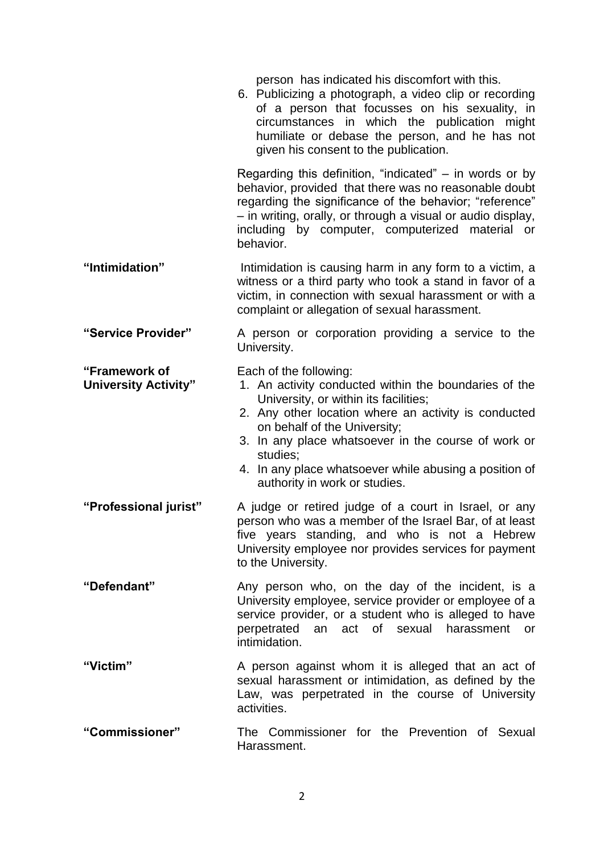person has indicated his discomfort with this. 6. Publicizing a photograph, a video clip or recording of a person that focusses on his sexuality, in circumstances in which the publication might humiliate or debase the person, and he has not given his consent to the publication. Regarding this definition, "indicated"  $-$  in words or by behavior, provided that there was no reasonable doubt regarding the significance of the behavior; "reference" – in writing, orally, or through a visual or audio display, including by computer, computerized material or behavior. **"Intimidation"** Intimidation is causing harm in any form to a victim, a witness or a third party who took a stand in favor of a victim, in connection with sexual harassment or with a complaint or allegation of sexual harassment. **"Service Provider"** A person or corporation providing a service to the University. **"Framework of University Activity"** Each of the following: 1. An activity conducted within the boundaries of the University, or within its facilities; 2. Any other location where an activity is conducted on behalf of the University; 3. In any place whatsoever in the course of work or studies; 4. In any place whatsoever while abusing a position of authority in work or studies. **"Professional jurist"** A judge or retired judge of a court in Israel, or any person who was a member of the Israel Bar, of at least five years standing, and who is not a Hebrew University employee nor provides services for payment to the University. **"Defendant"** Any person who, on the day of the incident, is a University employee, service provider or employee of a service provider, or a student who is alleged to have perpetrated an act of sexual harassment or intimidation. "Victim" A person against whom it is alleged that an act of sexual harassment or intimidation, as defined by the Law, was perpetrated in the course of University activities. **"Commissioner"** The Commissioner for the Prevention of Sexual **Harassment**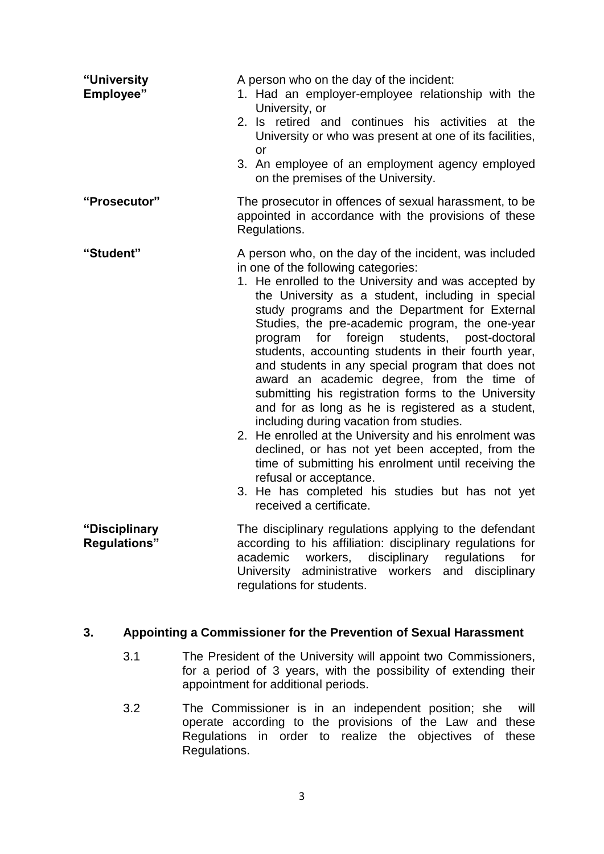| "University<br>Employee"             | A person who on the day of the incident:<br>1. Had an employer-employee relationship with the<br>University, or<br>2. Is retired and continues his activities at the<br>University or who was present at one of its facilities,<br>or<br>3. An employee of an employment agency employed<br>on the premises of the University.                                                                                                                                                                                                                                                                                                                                                                                                                                                                                                                                                                                                                                         |
|--------------------------------------|------------------------------------------------------------------------------------------------------------------------------------------------------------------------------------------------------------------------------------------------------------------------------------------------------------------------------------------------------------------------------------------------------------------------------------------------------------------------------------------------------------------------------------------------------------------------------------------------------------------------------------------------------------------------------------------------------------------------------------------------------------------------------------------------------------------------------------------------------------------------------------------------------------------------------------------------------------------------|
| "Prosecutor"                         | The prosecutor in offences of sexual harassment, to be<br>appointed in accordance with the provisions of these<br>Regulations.                                                                                                                                                                                                                                                                                                                                                                                                                                                                                                                                                                                                                                                                                                                                                                                                                                         |
| "Student"                            | A person who, on the day of the incident, was included<br>in one of the following categories:<br>1. He enrolled to the University and was accepted by<br>the University as a student, including in special<br>study programs and the Department for External<br>Studies, the pre-academic program, the one-year<br>students, post-doctoral<br>for<br>foreign<br>program<br>students, accounting students in their fourth year,<br>and students in any special program that does not<br>award an academic degree, from the time of<br>submitting his registration forms to the University<br>and for as long as he is registered as a student,<br>including during vacation from studies.<br>2. He enrolled at the University and his enrolment was<br>declined, or has not yet been accepted, from the<br>time of submitting his enrolment until receiving the<br>refusal or acceptance.<br>3. He has completed his studies but has not yet<br>received a certificate. |
| "Disciplinary<br><b>Regulations"</b> | The disciplinary regulations applying to the defendant<br>according to his affiliation: disciplinary regulations for<br>academic<br>disciplinary regulations<br>workers,<br>for<br>University administrative workers and disciplinary<br>regulations for students.                                                                                                                                                                                                                                                                                                                                                                                                                                                                                                                                                                                                                                                                                                     |

## **3. Appointing a Commissioner for the Prevention of Sexual Harassment**

- 3.1 The President of the University will appoint two Commissioners, for a period of 3 years, with the possibility of extending their appointment for additional periods.
- 3.2 The Commissioner is in an independent position; she will operate according to the provisions of the Law and these Regulations in order to realize the objectives of these Regulations.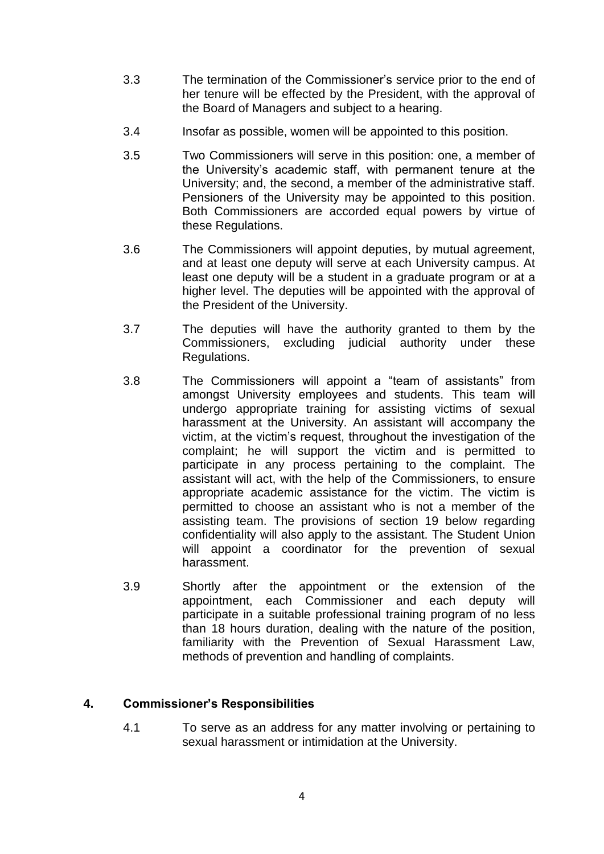- 3.3 The termination of the Commissioner's service prior to the end of her tenure will be effected by the President, with the approval of the Board of Managers and subject to a hearing.
- 3.4 Insofar as possible, women will be appointed to this position.
- 3.5 Two Commissioners will serve in this position: one, a member of the University's academic staff, with permanent tenure at the University; and, the second, a member of the administrative staff. Pensioners of the University may be appointed to this position. Both Commissioners are accorded equal powers by virtue of these Regulations.
- 3.6 The Commissioners will appoint deputies, by mutual agreement, and at least one deputy will serve at each University campus. At least one deputy will be a student in a graduate program or at a higher level. The deputies will be appointed with the approval of the President of the University.
- 3.7 The deputies will have the authority granted to them by the Commissioners, excluding judicial authority under these Regulations.
- 3.8 The Commissioners will appoint a "team of assistants" from amongst University employees and students. This team will undergo appropriate training for assisting victims of sexual harassment at the University. An assistant will accompany the victim, at the victim's request, throughout the investigation of the complaint; he will support the victim and is permitted to participate in any process pertaining to the complaint. The assistant will act, with the help of the Commissioners, to ensure appropriate academic assistance for the victim. The victim is permitted to choose an assistant who is not a member of the assisting team. The provisions of section 19 below regarding confidentiality will also apply to the assistant. The Student Union will appoint a coordinator for the prevention of sexual harassment.
- 3.9 Shortly after the appointment or the extension of the appointment, each Commissioner and each deputy will participate in a suitable professional training program of no less than 18 hours duration, dealing with the nature of the position, familiarity with the Prevention of Sexual Harassment Law, methods of prevention and handling of complaints.

## **4. Commissioner's Responsibilities**

4.1 To serve as an address for any matter involving or pertaining to sexual harassment or intimidation at the University.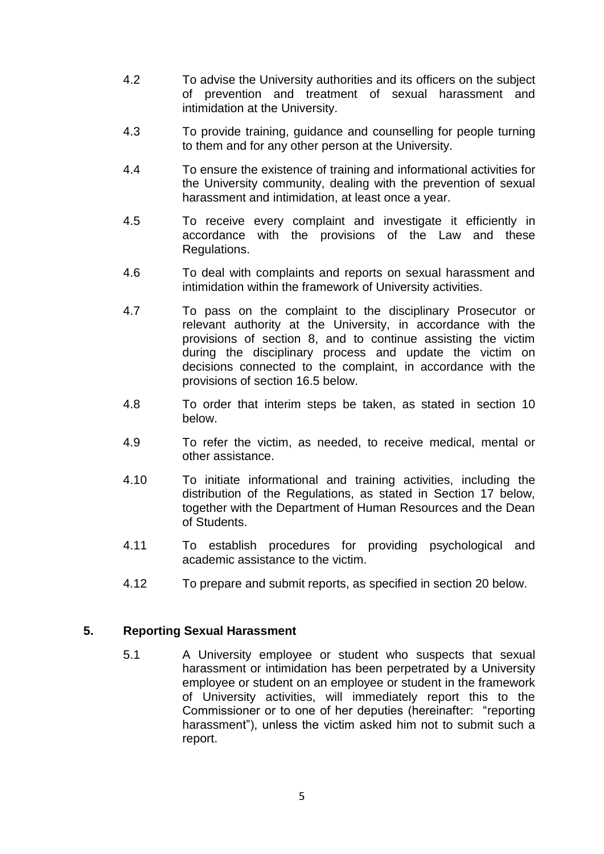- 4.2 To advise the University authorities and its officers on the subject of prevention and treatment of sexual harassment and intimidation at the University.
- 4.3 To provide training, guidance and counselling for people turning to them and for any other person at the University.
- 4.4 To ensure the existence of training and informational activities for the University community, dealing with the prevention of sexual harassment and intimidation, at least once a year.
- 4.5 To receive every complaint and investigate it efficiently in accordance with the provisions of the Law and these Regulations.
- 4.6 To deal with complaints and reports on sexual harassment and intimidation within the framework of University activities.
- 4.7 To pass on the complaint to the disciplinary Prosecutor or relevant authority at the University, in accordance with the provisions of section 8, and to continue assisting the victim during the disciplinary process and update the victim on decisions connected to the complaint, in accordance with the provisions of section 16.5 below.
- 4.8 To order that interim steps be taken, as stated in section 10 below.
- 4.9 To refer the victim, as needed, to receive medical, mental or other assistance.
- 4.10 To initiate informational and training activities, including the distribution of the Regulations, as stated in Section 17 below, together with the Department of Human Resources and the Dean of Students.
- 4.11 To establish procedures for providing psychological and academic assistance to the victim.
- 4.12 To prepare and submit reports, as specified in section 20 below.

#### **5. Reporting Sexual Harassment**

5.1 A University employee or student who suspects that sexual harassment or intimidation has been perpetrated by a University employee or student on an employee or student in the framework of University activities, will immediately report this to the Commissioner or to one of her deputies (hereinafter: "reporting harassment"), unless the victim asked him not to submit such a report.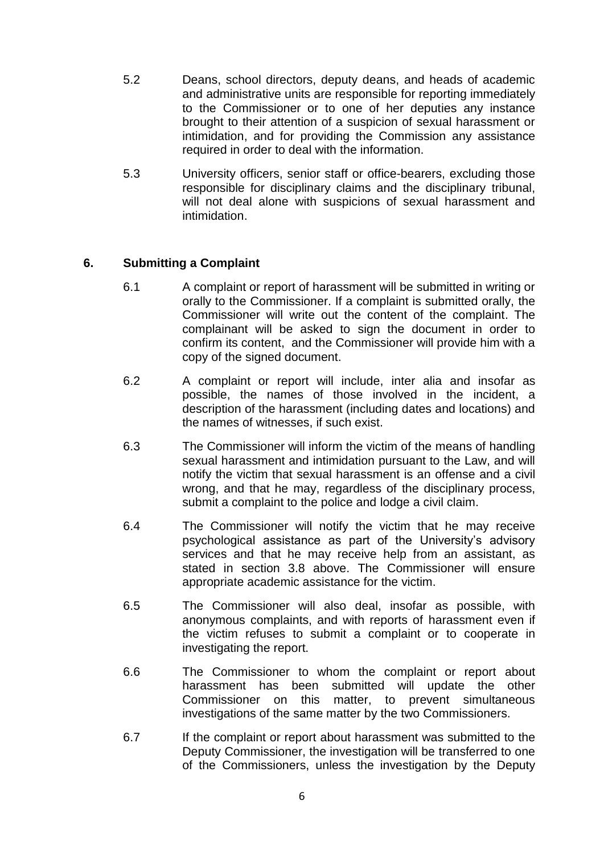- 5.2 Deans, school directors, deputy deans, and heads of academic and administrative units are responsible for reporting immediately to the Commissioner or to one of her deputies any instance brought to their attention of a suspicion of sexual harassment or intimidation, and for providing the Commission any assistance required in order to deal with the information.
- 5.3 University officers, senior staff or office-bearers, excluding those responsible for disciplinary claims and the disciplinary tribunal, will not deal alone with suspicions of sexual harassment and intimidation.

## **6. Submitting a Complaint**

- 6.1 A complaint or report of harassment will be submitted in writing or orally to the Commissioner. If a complaint is submitted orally, the Commissioner will write out the content of the complaint. The complainant will be asked to sign the document in order to confirm its content, and the Commissioner will provide him with a copy of the signed document.
- 6.2 A complaint or report will include, inter alia and insofar as possible, the names of those involved in the incident, a description of the harassment (including dates and locations) and the names of witnesses, if such exist.
- 6.3 The Commissioner will inform the victim of the means of handling sexual harassment and intimidation pursuant to the Law, and will notify the victim that sexual harassment is an offense and a civil wrong, and that he may, regardless of the disciplinary process, submit a complaint to the police and lodge a civil claim.
- 6.4 The Commissioner will notify the victim that he may receive psychological assistance as part of the University's advisory services and that he may receive help from an assistant, as stated in section 3.8 above. The Commissioner will ensure appropriate academic assistance for the victim.
- 6.5 The Commissioner will also deal, insofar as possible, with anonymous complaints, and with reports of harassment even if the victim refuses to submit a complaint or to cooperate in investigating the report.
- 6.6 The Commissioner to whom the complaint or report about harassment has been submitted will update the other Commissioner on this matter, to prevent simultaneous investigations of the same matter by the two Commissioners.
- 6.7 If the complaint or report about harassment was submitted to the Deputy Commissioner, the investigation will be transferred to one of the Commissioners, unless the investigation by the Deputy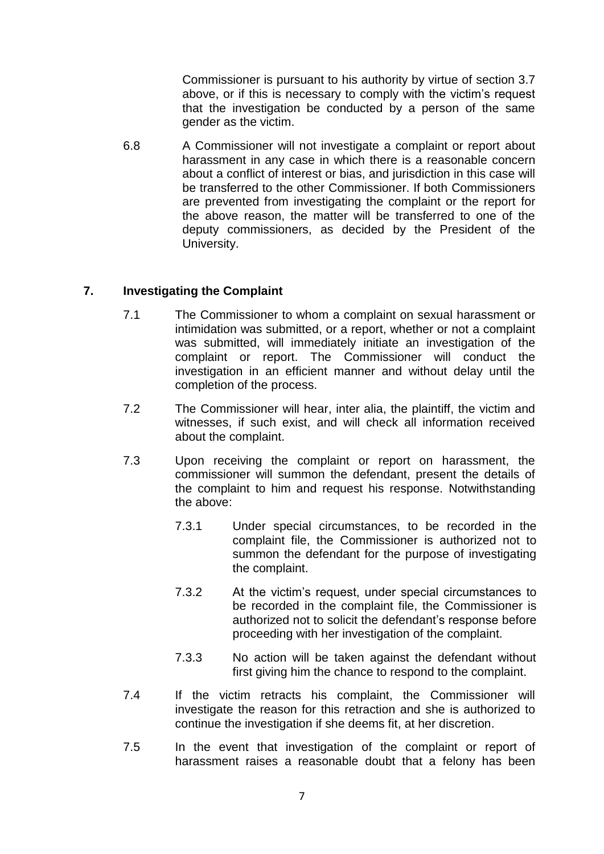Commissioner is pursuant to his authority by virtue of section 3.7 above, or if this is necessary to comply with the victim's request that the investigation be conducted by a person of the same gender as the victim.

6.8 A Commissioner will not investigate a complaint or report about harassment in any case in which there is a reasonable concern about a conflict of interest or bias, and jurisdiction in this case will be transferred to the other Commissioner. If both Commissioners are prevented from investigating the complaint or the report for the above reason, the matter will be transferred to one of the deputy commissioners, as decided by the President of the University.

## **7. Investigating the Complaint**

- 7.1 The Commissioner to whom a complaint on sexual harassment or intimidation was submitted, or a report, whether or not a complaint was submitted, will immediately initiate an investigation of the complaint or report. The Commissioner will conduct the investigation in an efficient manner and without delay until the completion of the process.
- 7.2 The Commissioner will hear, inter alia, the plaintiff, the victim and witnesses, if such exist, and will check all information received about the complaint.
- 7.3 Upon receiving the complaint or report on harassment, the commissioner will summon the defendant, present the details of the complaint to him and request his response. Notwithstanding the above:
	- 7.3.1 Under special circumstances, to be recorded in the complaint file, the Commissioner is authorized not to summon the defendant for the purpose of investigating the complaint.
	- 7.3.2 At the victim's request, under special circumstances to be recorded in the complaint file, the Commissioner is authorized not to solicit the defendant's response before proceeding with her investigation of the complaint.
	- 7.3.3 No action will be taken against the defendant without first giving him the chance to respond to the complaint.
- 7.4 If the victim retracts his complaint, the Commissioner will investigate the reason for this retraction and she is authorized to continue the investigation if she deems fit, at her discretion.
- 7.5 In the event that investigation of the complaint or report of harassment raises a reasonable doubt that a felony has been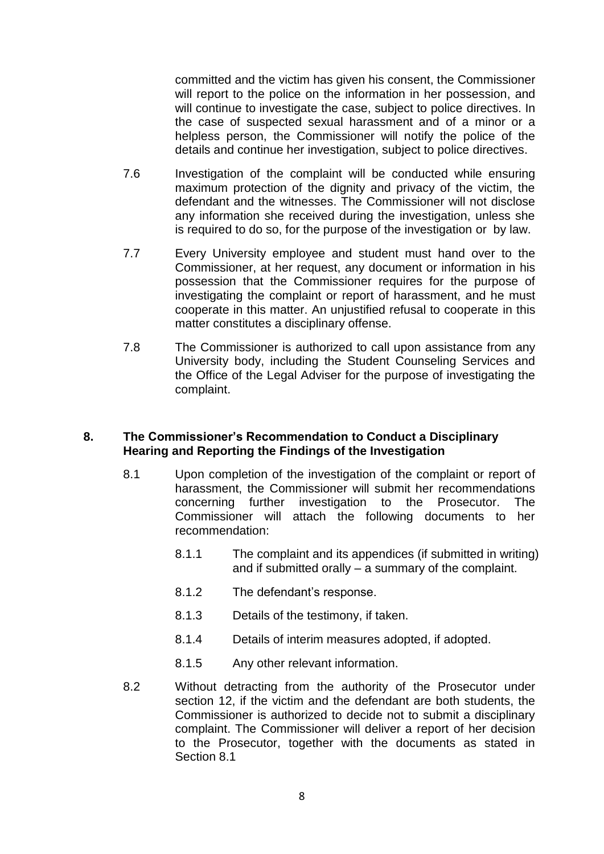committed and the victim has given his consent, the Commissioner will report to the police on the information in her possession, and will continue to investigate the case, subject to police directives. In the case of suspected sexual harassment and of a minor or a helpless person, the Commissioner will notify the police of the details and continue her investigation, subject to police directives.

- 7.6 Investigation of the complaint will be conducted while ensuring maximum protection of the dignity and privacy of the victim, the defendant and the witnesses. The Commissioner will not disclose any information she received during the investigation, unless she is required to do so, for the purpose of the investigation or by law.
- 7.7 Every University employee and student must hand over to the Commissioner, at her request, any document or information in his possession that the Commissioner requires for the purpose of investigating the complaint or report of harassment, and he must cooperate in this matter. An unjustified refusal to cooperate in this matter constitutes a disciplinary offense.
- 7.8 The Commissioner is authorized to call upon assistance from any University body, including the Student Counseling Services and the Office of the Legal Adviser for the purpose of investigating the complaint.

#### **8. The Commissioner's Recommendation to Conduct a Disciplinary Hearing and Reporting the Findings of the Investigation**

- 8.1 Upon completion of the investigation of the complaint or report of harassment, the Commissioner will submit her recommendations concerning further investigation to the Prosecutor. The Commissioner will attach the following documents to her recommendation:
	- 8.1.1 The complaint and its appendices (if submitted in writing) and if submitted orally – a summary of the complaint.
	- 8.1.2 The defendant's response.
	- 8.1.3 Details of the testimony, if taken.
	- 8.1.4 Details of interim measures adopted, if adopted.
	- 8.1.5 Any other relevant information.
- 8.2 Without detracting from the authority of the Prosecutor under section 12, if the victim and the defendant are both students, the Commissioner is authorized to decide not to submit a disciplinary complaint. The Commissioner will deliver a report of her decision to the Prosecutor, together with the documents as stated in Section 8.1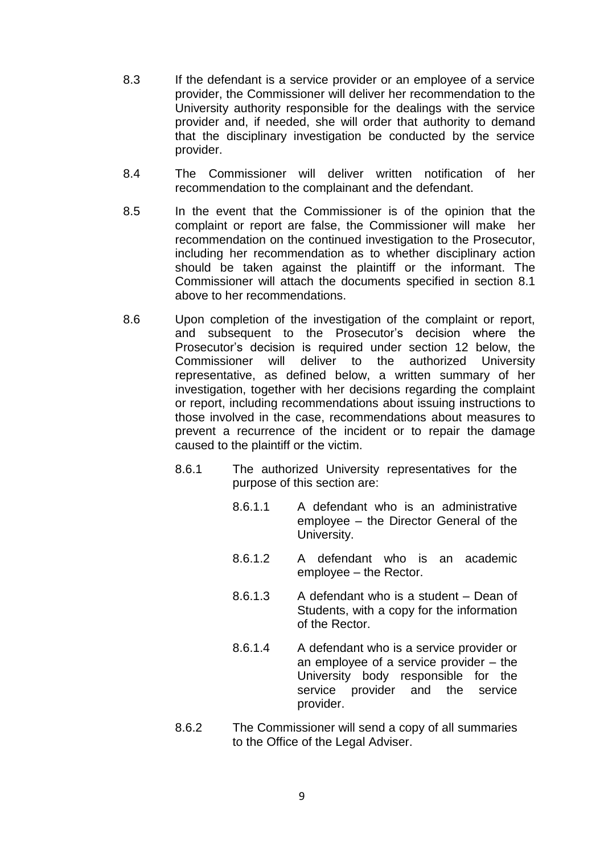- 8.3 If the defendant is a service provider or an employee of a service provider, the Commissioner will deliver her recommendation to the University authority responsible for the dealings with the service provider and, if needed, she will order that authority to demand that the disciplinary investigation be conducted by the service provider.
- 8.4 The Commissioner will deliver written notification of her recommendation to the complainant and the defendant.
- 8.5 In the event that the Commissioner is of the opinion that the complaint or report are false, the Commissioner will make her recommendation on the continued investigation to the Prosecutor, including her recommendation as to whether disciplinary action should be taken against the plaintiff or the informant. The Commissioner will attach the documents specified in section 8.1 above to her recommendations.
- 8.6 Upon completion of the investigation of the complaint or report, and subsequent to the Prosecutor's decision where the Prosecutor's decision is required under section 12 below, the Commissioner will deliver to the authorized University representative, as defined below, a written summary of her investigation, together with her decisions regarding the complaint or report, including recommendations about issuing instructions to those involved in the case, recommendations about measures to prevent a recurrence of the incident or to repair the damage caused to the plaintiff or the victim.
	- 8.6.1 The authorized University representatives for the purpose of this section are:
		- 8.6.1.1 A defendant who is an administrative employee – the Director General of the University.
		- 8.6.1.2 A defendant who is an academic employee – the Rector.
		- 8.6.1.3 A defendant who is a student Dean of Students, with a copy for the information of the Rector.
		- 8.6.1.4 A defendant who is a service provider or an employee of a service provider – the University body responsible for the service provider and the service provider.
	- 8.6.2 The Commissioner will send a copy of all summaries to the Office of the Legal Adviser.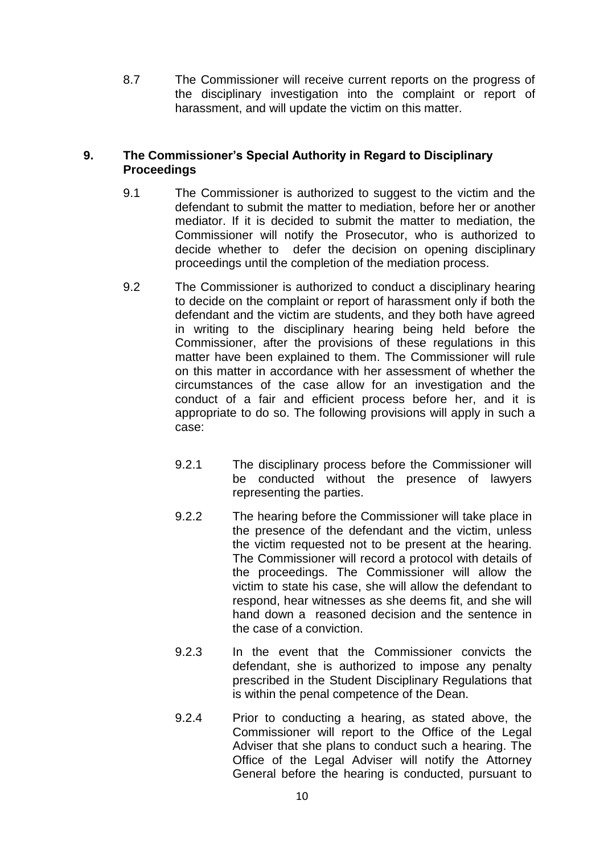8.7 The Commissioner will receive current reports on the progress of the disciplinary investigation into the complaint or report of harassment, and will update the victim on this matter.

### **9. The Commissioner's Special Authority in Regard to Disciplinary Proceedings**

- 9.1 The Commissioner is authorized to suggest to the victim and the defendant to submit the matter to mediation, before her or another mediator. If it is decided to submit the matter to mediation, the Commissioner will notify the Prosecutor, who is authorized to decide whether to defer the decision on opening disciplinary proceedings until the completion of the mediation process.
- 9.2 The Commissioner is authorized to conduct a disciplinary hearing to decide on the complaint or report of harassment only if both the defendant and the victim are students, and they both have agreed in writing to the disciplinary hearing being held before the Commissioner, after the provisions of these regulations in this matter have been explained to them. The Commissioner will rule on this matter in accordance with her assessment of whether the circumstances of the case allow for an investigation and the conduct of a fair and efficient process before her, and it is appropriate to do so. The following provisions will apply in such a case:
	- 9.2.1 The disciplinary process before the Commissioner will be conducted without the presence of lawyers representing the parties.
	- 9.2.2 The hearing before the Commissioner will take place in the presence of the defendant and the victim, unless the victim requested not to be present at the hearing. The Commissioner will record a protocol with details of the proceedings. The Commissioner will allow the victim to state his case, she will allow the defendant to respond, hear witnesses as she deems fit, and she will hand down a reasoned decision and the sentence in the case of a conviction.
	- 9.2.3 In the event that the Commissioner convicts the defendant, she is authorized to impose any penalty prescribed in the Student Disciplinary Regulations that is within the penal competence of the Dean.
	- 9.2.4 Prior to conducting a hearing, as stated above, the Commissioner will report to the Office of the Legal Adviser that she plans to conduct such a hearing. The Office of the Legal Adviser will notify the Attorney General before the hearing is conducted, pursuant to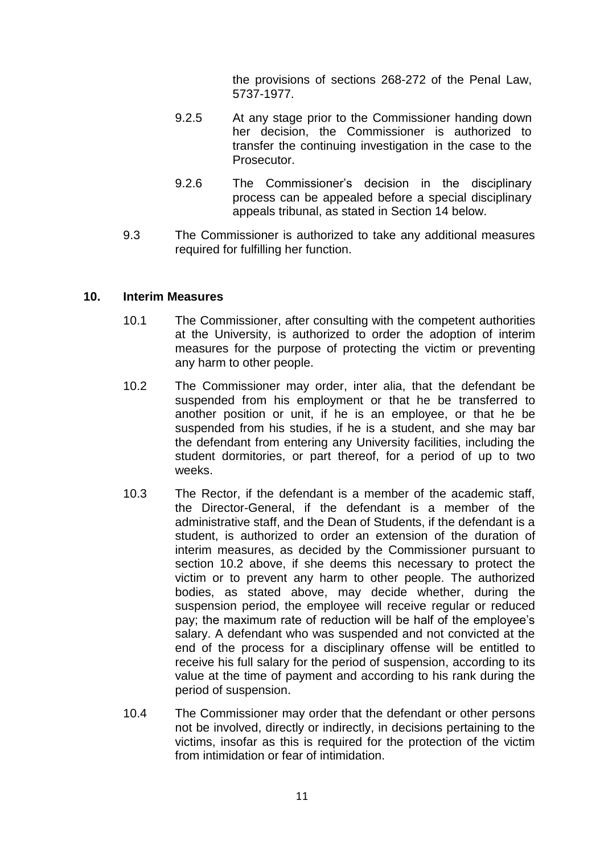the provisions of sections 268-272 of the Penal Law, 5737-1977.

- 9.2.5 At any stage prior to the Commissioner handing down her decision, the Commissioner is authorized to transfer the continuing investigation in the case to the Prosecutor.
- 9.2.6 The Commissioner's decision in the disciplinary process can be appealed before a special disciplinary appeals tribunal, as stated in Section 14 below.
- 9.3 The Commissioner is authorized to take any additional measures required for fulfilling her function.

#### **10. Interim Measures**

- 10.1 The Commissioner, after consulting with the competent authorities at the University, is authorized to order the adoption of interim measures for the purpose of protecting the victim or preventing any harm to other people.
- 10.2 The Commissioner may order, inter alia, that the defendant be suspended from his employment or that he be transferred to another position or unit, if he is an employee, or that he be suspended from his studies, if he is a student, and she may bar the defendant from entering any University facilities, including the student dormitories, or part thereof, for a period of up to two weeks.
- 10.3 The Rector, if the defendant is a member of the academic staff, the Director-General, if the defendant is a member of the administrative staff, and the Dean of Students, if the defendant is a student, is authorized to order an extension of the duration of interim measures, as decided by the Commissioner pursuant to section 10.2 above, if she deems this necessary to protect the victim or to prevent any harm to other people. The authorized bodies, as stated above, may decide whether, during the suspension period, the employee will receive regular or reduced pay; the maximum rate of reduction will be half of the employee's salary. A defendant who was suspended and not convicted at the end of the process for a disciplinary offense will be entitled to receive his full salary for the period of suspension, according to its value at the time of payment and according to his rank during the period of suspension.
- 10.4 The Commissioner may order that the defendant or other persons not be involved, directly or indirectly, in decisions pertaining to the victims, insofar as this is required for the protection of the victim from intimidation or fear of intimidation.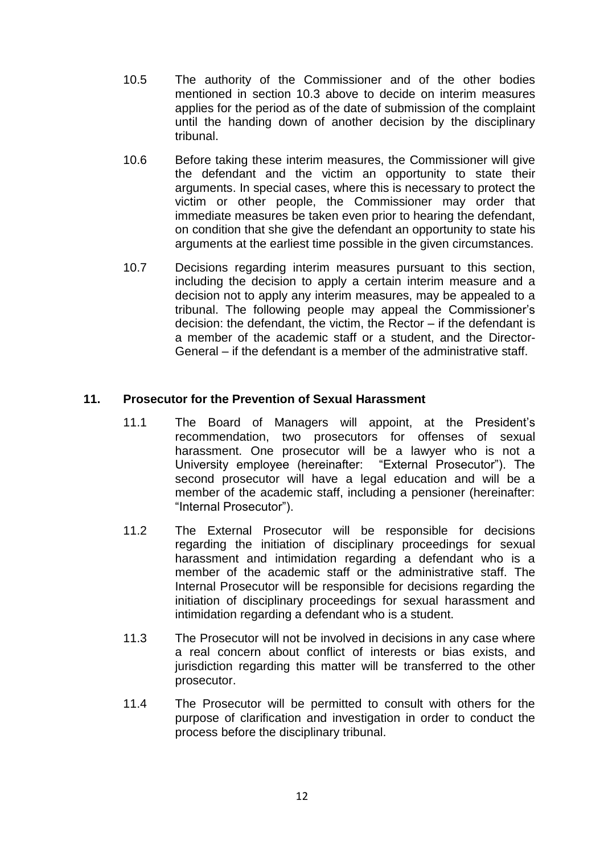- 10.5 The authority of the Commissioner and of the other bodies mentioned in section 10.3 above to decide on interim measures applies for the period as of the date of submission of the complaint until the handing down of another decision by the disciplinary tribunal.
- 10.6 Before taking these interim measures, the Commissioner will give the defendant and the victim an opportunity to state their arguments. In special cases, where this is necessary to protect the victim or other people, the Commissioner may order that immediate measures be taken even prior to hearing the defendant, on condition that she give the defendant an opportunity to state his arguments at the earliest time possible in the given circumstances.
- 10.7 Decisions regarding interim measures pursuant to this section, including the decision to apply a certain interim measure and a decision not to apply any interim measures, may be appealed to a tribunal. The following people may appeal the Commissioner's decision: the defendant, the victim, the Rector – if the defendant is a member of the academic staff or a student, and the Director-General – if the defendant is a member of the administrative staff.

#### **11. Prosecutor for the Prevention of Sexual Harassment**

- 11.1 The Board of Managers will appoint, at the President's recommendation, two prosecutors for offenses of sexual harassment. One prosecutor will be a lawyer who is not a University employee (hereinafter: "External Prosecutor"). The second prosecutor will have a legal education and will be a member of the academic staff, including a pensioner (hereinafter: "Internal Prosecutor").
- 11.2 The External Prosecutor will be responsible for decisions regarding the initiation of disciplinary proceedings for sexual harassment and intimidation regarding a defendant who is a member of the academic staff or the administrative staff. The Internal Prosecutor will be responsible for decisions regarding the initiation of disciplinary proceedings for sexual harassment and intimidation regarding a defendant who is a student.
- 11.3 The Prosecutor will not be involved in decisions in any case where a real concern about conflict of interests or bias exists, and jurisdiction regarding this matter will be transferred to the other prosecutor.
- 11.4 The Prosecutor will be permitted to consult with others for the purpose of clarification and investigation in order to conduct the process before the disciplinary tribunal.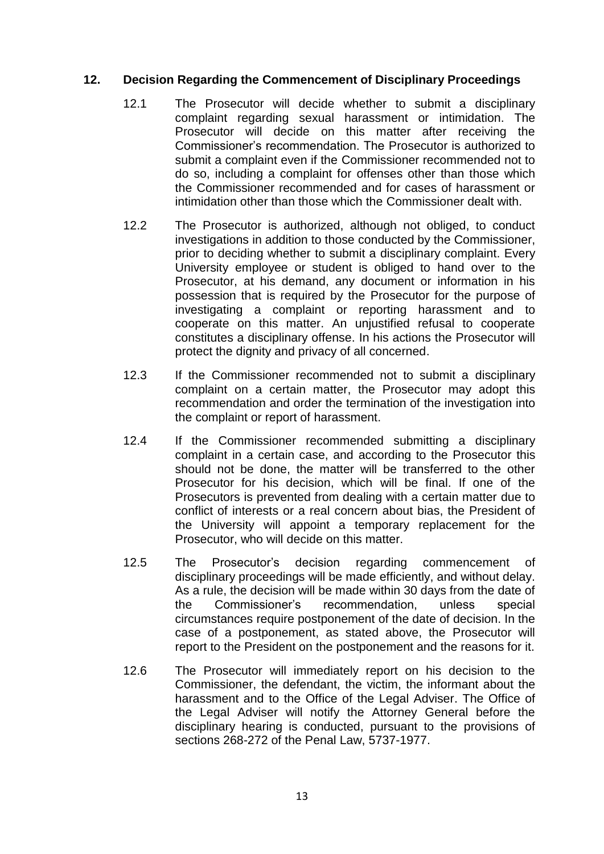## **12. Decision Regarding the Commencement of Disciplinary Proceedings**

- 12.1 The Prosecutor will decide whether to submit a disciplinary complaint regarding sexual harassment or intimidation. The Prosecutor will decide on this matter after receiving the Commissioner's recommendation. The Prosecutor is authorized to submit a complaint even if the Commissioner recommended not to do so, including a complaint for offenses other than those which the Commissioner recommended and for cases of harassment or intimidation other than those which the Commissioner dealt with.
- 12.2 The Prosecutor is authorized, although not obliged, to conduct investigations in addition to those conducted by the Commissioner, prior to deciding whether to submit a disciplinary complaint. Every University employee or student is obliged to hand over to the Prosecutor, at his demand, any document or information in his possession that is required by the Prosecutor for the purpose of investigating a complaint or reporting harassment and to cooperate on this matter. An unjustified refusal to cooperate constitutes a disciplinary offense. In his actions the Prosecutor will protect the dignity and privacy of all concerned.
- 12.3 If the Commissioner recommended not to submit a disciplinary complaint on a certain matter, the Prosecutor may adopt this recommendation and order the termination of the investigation into the complaint or report of harassment.
- 12.4 If the Commissioner recommended submitting a disciplinary complaint in a certain case, and according to the Prosecutor this should not be done, the matter will be transferred to the other Prosecutor for his decision, which will be final. If one of the Prosecutors is prevented from dealing with a certain matter due to conflict of interests or a real concern about bias, the President of the University will appoint a temporary replacement for the Prosecutor, who will decide on this matter.
- 12.5 The Prosecutor's decision regarding commencement of disciplinary proceedings will be made efficiently, and without delay. As a rule, the decision will be made within 30 days from the date of the Commissioner's recommendation, unless special circumstances require postponement of the date of decision. In the case of a postponement, as stated above, the Prosecutor will report to the President on the postponement and the reasons for it.
- 12.6 The Prosecutor will immediately report on his decision to the Commissioner, the defendant, the victim, the informant about the harassment and to the Office of the Legal Adviser. The Office of the Legal Adviser will notify the Attorney General before the disciplinary hearing is conducted, pursuant to the provisions of sections 268-272 of the Penal Law, 5737-1977.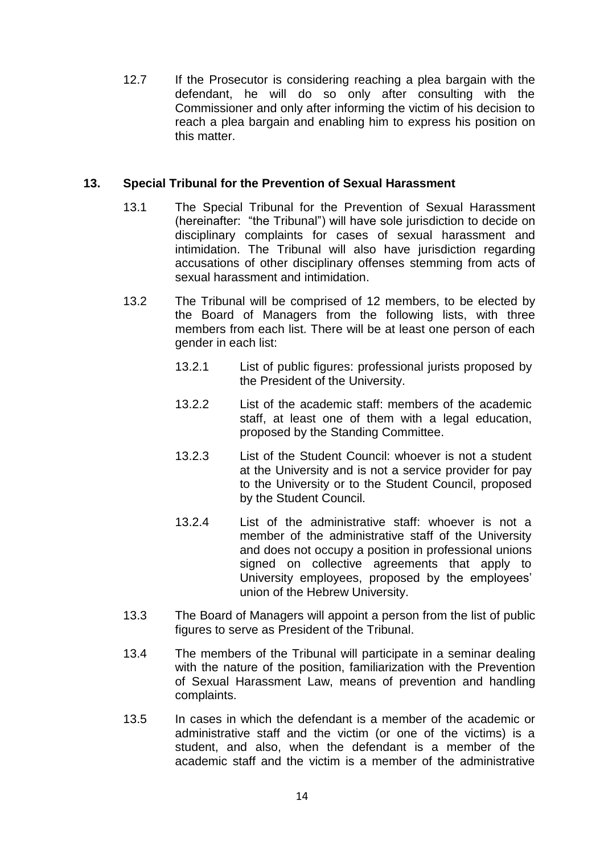12.7 If the Prosecutor is considering reaching a plea bargain with the defendant, he will do so only after consulting with the Commissioner and only after informing the victim of his decision to reach a plea bargain and enabling him to express his position on this matter.

## **13. Special Tribunal for the Prevention of Sexual Harassment**

- 13.1 The Special Tribunal for the Prevention of Sexual Harassment (hereinafter: "the Tribunal") will have sole jurisdiction to decide on disciplinary complaints for cases of sexual harassment and intimidation. The Tribunal will also have jurisdiction regarding accusations of other disciplinary offenses stemming from acts of sexual harassment and intimidation.
- 13.2 The Tribunal will be comprised of 12 members, to be elected by the Board of Managers from the following lists, with three members from each list. There will be at least one person of each gender in each list:
	- 13.2.1 List of public figures: professional jurists proposed by the President of the University.
	- 13.2.2 List of the academic staff: members of the academic staff, at least one of them with a legal education. proposed by the Standing Committee.
	- 13.2.3 List of the Student Council: whoever is not a student at the University and is not a service provider for pay to the University or to the Student Council, proposed by the Student Council.
	- 13.2.4 List of the administrative staff: whoever is not a member of the administrative staff of the University and does not occupy a position in professional unions signed on collective agreements that apply to University employees, proposed by the employees' union of the Hebrew University.
- 13.3 The Board of Managers will appoint a person from the list of public figures to serve as President of the Tribunal.
- 13.4 The members of the Tribunal will participate in a seminar dealing with the nature of the position, familiarization with the Prevention of Sexual Harassment Law, means of prevention and handling complaints.
- 13.5 In cases in which the defendant is a member of the academic or administrative staff and the victim (or one of the victims) is a student, and also, when the defendant is a member of the academic staff and the victim is a member of the administrative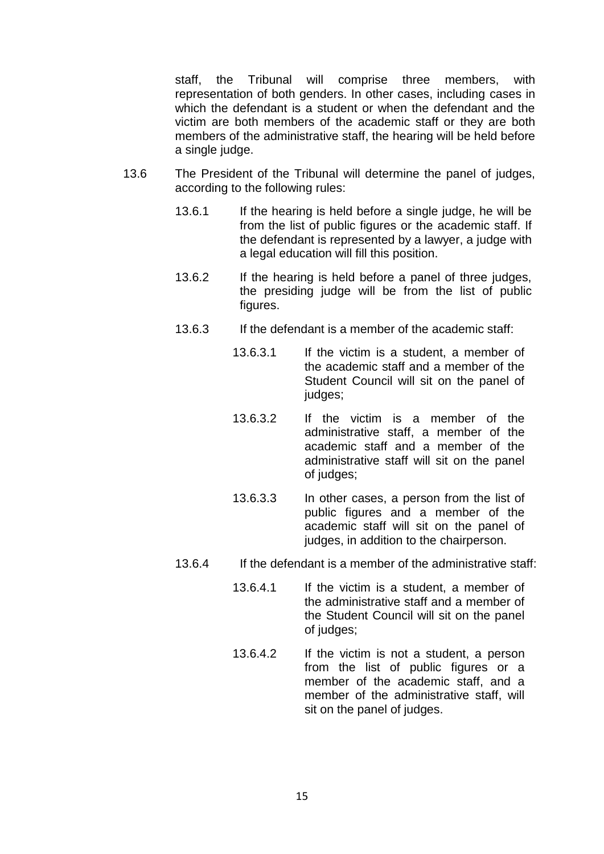staff, the Tribunal will comprise three members, with representation of both genders. In other cases, including cases in which the defendant is a student or when the defendant and the victim are both members of the academic staff or they are both members of the administrative staff, the hearing will be held before a single judge.

- 13.6 The President of the Tribunal will determine the panel of judges, according to the following rules:
	- 13.6.1 If the hearing is held before a single judge, he will be from the list of public figures or the academic staff. If the defendant is represented by a lawyer, a judge with a legal education will fill this position.
	- 13.6.2 If the hearing is held before a panel of three judges, the presiding judge will be from the list of public figures.
	- 13.6.3 If the defendant is a member of the academic staff:
		- 13.6.3.1 If the victim is a student, a member of the academic staff and a member of the Student Council will sit on the panel of judges:
		- 13.6.3.2 If the victim is a member of the administrative staff, a member of the academic staff and a member of the administrative staff will sit on the panel of judges;
		- 13.6.3.3 In other cases, a person from the list of public figures and a member of the academic staff will sit on the panel of judges, in addition to the chairperson.
	- 13.6.4 If the defendant is a member of the administrative staff:
		- 13.6.4.1 If the victim is a student, a member of the administrative staff and a member of the Student Council will sit on the panel of judges;
		- 13.6.4.2 If the victim is not a student, a person from the list of public figures or a member of the academic staff, and a member of the administrative staff, will sit on the panel of judges.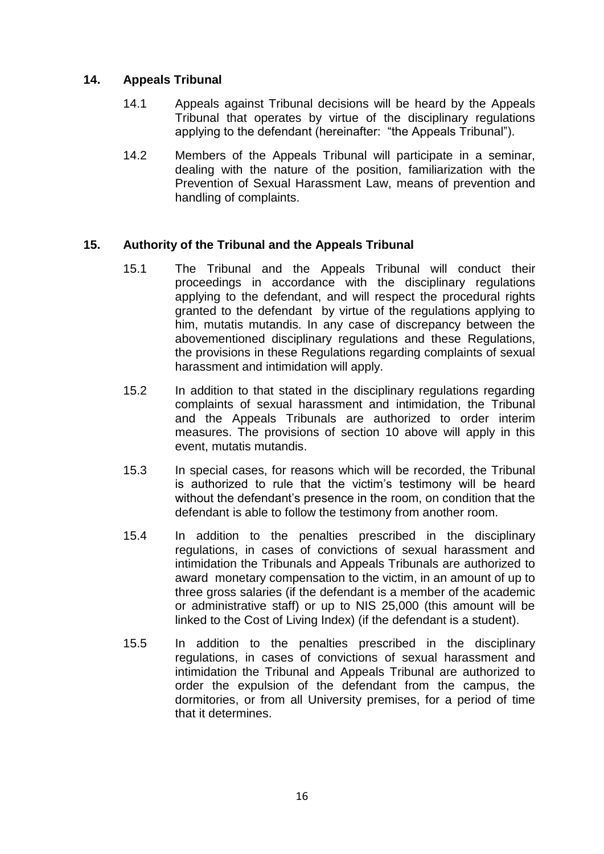## **14. Appeals Tribunal**

- 14.1 Appeals against Tribunal decisions will be heard by the Appeals Tribunal that operates by virtue of the disciplinary regulations applying to the defendant (hereinafter: "the Appeals Tribunal").
- 14.2 Members of the Appeals Tribunal will participate in a seminar, dealing with the nature of the position, familiarization with the Prevention of Sexual Harassment Law, means of prevention and handling of complaints.

## **15. Authority of the Tribunal and the Appeals Tribunal**

- 15.1 The Tribunal and the Appeals Tribunal will conduct their proceedings in accordance with the disciplinary regulations applying to the defendant, and will respect the procedural rights granted to the defendant by virtue of the regulations applying to him, mutatis mutandis. In any case of discrepancy between the abovementioned disciplinary regulations and these Regulations, the provisions in these Regulations regarding complaints of sexual harassment and intimidation will apply.
- 15.2 In addition to that stated in the disciplinary regulations regarding complaints of sexual harassment and intimidation, the Tribunal and the Appeals Tribunals are authorized to order interim measures. The provisions of section 10 above will apply in this event, mutatis mutandis.
- 15.3 In special cases, for reasons which will be recorded, the Tribunal is authorized to rule that the victim's testimony will be heard without the defendant's presence in the room, on condition that the defendant is able to follow the testimony from another room.
- 15.4 In addition to the penalties prescribed in the disciplinary regulations, in cases of convictions of sexual harassment and intimidation the Tribunals and Appeals Tribunals are authorized to award monetary compensation to the victim, in an amount of up to three gross salaries (if the defendant is a member of the academic or administrative staff) or up to NIS 25,000 (this amount will be linked to the Cost of Living Index) (if the defendant is a student).
- 15.5 In addition to the penalties prescribed in the disciplinary regulations, in cases of convictions of sexual harassment and intimidation the Tribunal and Appeals Tribunal are authorized to order the expulsion of the defendant from the campus, the dormitories, or from all University premises, for a period of time that it determines.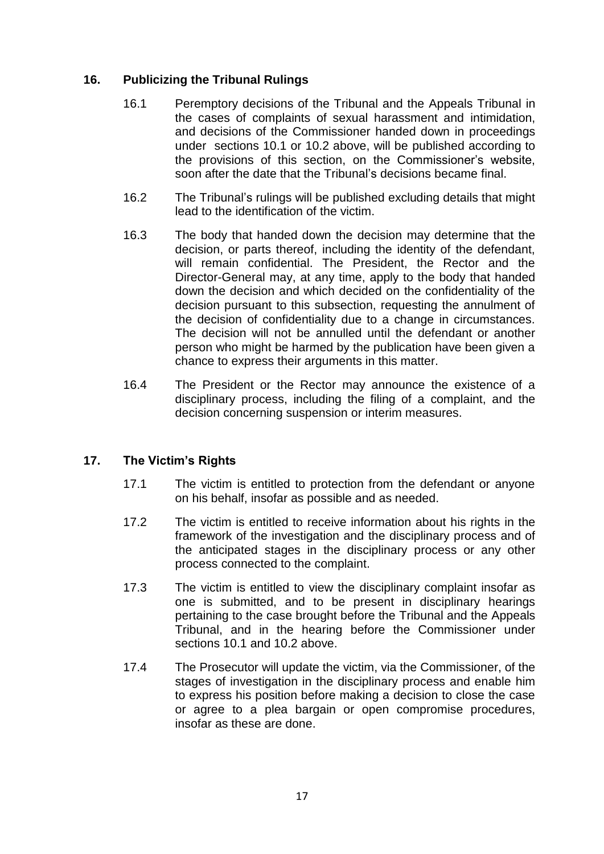## **16. Publicizing the Tribunal Rulings**

- 16.1 Peremptory decisions of the Tribunal and the Appeals Tribunal in the cases of complaints of sexual harassment and intimidation, and decisions of the Commissioner handed down in proceedings under sections 10.1 or 10.2 above, will be published according to the provisions of this section, on the Commissioner's website, soon after the date that the Tribunal's decisions became final.
- 16.2 The Tribunal's rulings will be published excluding details that might lead to the identification of the victim.
- 16.3 The body that handed down the decision may determine that the decision, or parts thereof, including the identity of the defendant, will remain confidential. The President, the Rector and the Director-General may, at any time, apply to the body that handed down the decision and which decided on the confidentiality of the decision pursuant to this subsection, requesting the annulment of the decision of confidentiality due to a change in circumstances. The decision will not be annulled until the defendant or another person who might be harmed by the publication have been given a chance to express their arguments in this matter.
- 16.4 The President or the Rector may announce the existence of a disciplinary process, including the filing of a complaint, and the decision concerning suspension or interim measures.

# **17. The Victim's Rights**

- 17.1 The victim is entitled to protection from the defendant or anyone on his behalf, insofar as possible and as needed.
- 17.2 The victim is entitled to receive information about his rights in the framework of the investigation and the disciplinary process and of the anticipated stages in the disciplinary process or any other process connected to the complaint.
- 17.3 The victim is entitled to view the disciplinary complaint insofar as one is submitted, and to be present in disciplinary hearings pertaining to the case brought before the Tribunal and the Appeals Tribunal, and in the hearing before the Commissioner under sections 10.1 and 10.2 above.
- 17.4 The Prosecutor will update the victim, via the Commissioner, of the stages of investigation in the disciplinary process and enable him to express his position before making a decision to close the case or agree to a plea bargain or open compromise procedures, insofar as these are done.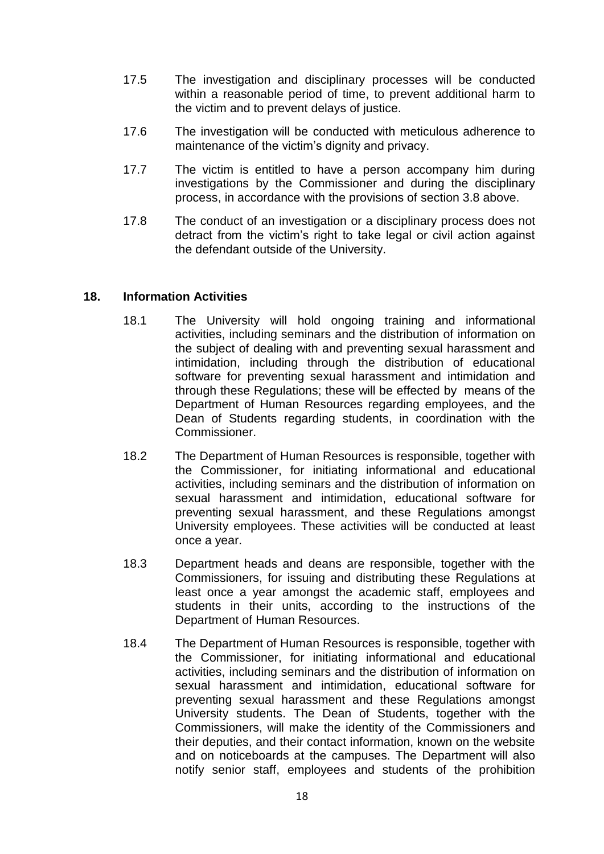- 17.5 The investigation and disciplinary processes will be conducted within a reasonable period of time, to prevent additional harm to the victim and to prevent delays of justice.
- 17.6 The investigation will be conducted with meticulous adherence to maintenance of the victim's dignity and privacy.
- 17.7 The victim is entitled to have a person accompany him during investigations by the Commissioner and during the disciplinary process, in accordance with the provisions of section 3.8 above.
- 17.8 The conduct of an investigation or a disciplinary process does not detract from the victim's right to take legal or civil action against the defendant outside of the University.

#### **18. Information Activities**

- 18.1 The University will hold ongoing training and informational activities, including seminars and the distribution of information on the subject of dealing with and preventing sexual harassment and intimidation, including through the distribution of educational software for preventing sexual harassment and intimidation and through these Regulations; these will be effected by means of the Department of Human Resources regarding employees, and the Dean of Students regarding students, in coordination with the Commissioner.
- 18.2 The Department of Human Resources is responsible, together with the Commissioner, for initiating informational and educational activities, including seminars and the distribution of information on sexual harassment and intimidation, educational software for preventing sexual harassment, and these Regulations amongst University employees. These activities will be conducted at least once a year.
- 18.3 Department heads and deans are responsible, together with the Commissioners, for issuing and distributing these Regulations at least once a year amongst the academic staff, employees and students in their units, according to the instructions of the Department of Human Resources.
- 18.4 The Department of Human Resources is responsible, together with the Commissioner, for initiating informational and educational activities, including seminars and the distribution of information on sexual harassment and intimidation, educational software for preventing sexual harassment and these Regulations amongst University students. The Dean of Students, together with the Commissioners, will make the identity of the Commissioners and their deputies, and their contact information, known on the website and on noticeboards at the campuses. The Department will also notify senior staff, employees and students of the prohibition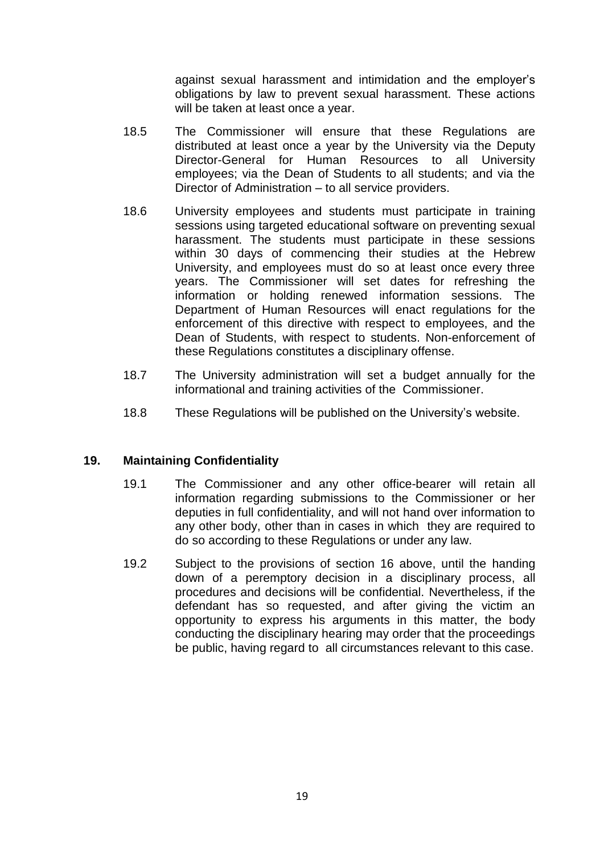against sexual harassment and intimidation and the employer's obligations by law to prevent sexual harassment. These actions will be taken at least once a year.

- 18.5 The Commissioner will ensure that these Regulations are distributed at least once a year by the University via the Deputy Director-General for Human Resources to all University employees; via the Dean of Students to all students; and via the Director of Administration – to all service providers.
- 18.6 University employees and students must participate in training sessions using targeted educational software on preventing sexual harassment. The students must participate in these sessions within 30 days of commencing their studies at the Hebrew University, and employees must do so at least once every three years. The Commissioner will set dates for refreshing the information or holding renewed information sessions. The Department of Human Resources will enact regulations for the enforcement of this directive with respect to employees, and the Dean of Students, with respect to students. Non-enforcement of these Regulations constitutes a disciplinary offense.
- 18.7 The University administration will set a budget annually for the informational and training activities of the Commissioner.
- 18.8 These Regulations will be published on the University's website.

#### **19. Maintaining Confidentiality**

- 19.1 The Commissioner and any other office-bearer will retain all information regarding submissions to the Commissioner or her deputies in full confidentiality, and will not hand over information to any other body, other than in cases in which they are required to do so according to these Regulations or under any law.
- 19.2 Subject to the provisions of section 16 above, until the handing down of a peremptory decision in a disciplinary process, all procedures and decisions will be confidential. Nevertheless, if the defendant has so requested, and after giving the victim an opportunity to express his arguments in this matter, the body conducting the disciplinary hearing may order that the proceedings be public, having regard to all circumstances relevant to this case.